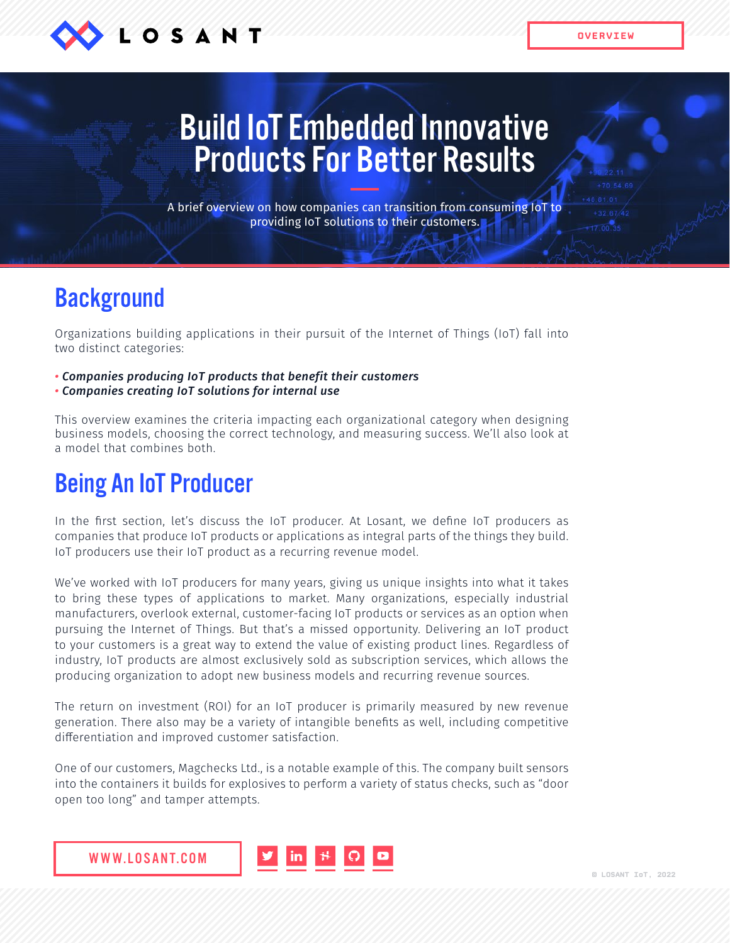

**OVERVIEW**

# Build IoT Embedded Innovative Products For Better Results

A brief overview on how companies can transition from consuming IoT to providing IoT solutions to their customers.

### **Background**

Organizations building applications in their pursuit of the Internet of Things (IoT) fall into two distinct categories:

- *Companies producing IoT products that benefit their customers*
- *Companies creating IoT solutions for internal use*

This overview examines the criteria impacting each organizational category when designing business models, choosing the correct technology, and measuring success. We'll also look at a model that combines both.

## Being An IoT Producer

In the first section, let's discuss the IoT producer. At Losant, we define IoT producers as companies that produce IoT products or applications as integral parts of the things they build. IoT producers use their IoT product as a recurring revenue model.

We've worked with IoT producers for many years, giving us unique insights into what it takes to bring these types of applications to market. Many organizations, especially industrial manufacturers, overlook external, customer-facing IoT products or services as an option when pursuing the Internet of Things. But that's a missed opportunity. Delivering an IoT product to your customers is a great way to extend the value of existing product lines. Regardless of industry, IoT products are almost exclusively sold as subscription services, which allows the producing organization to adopt new business models and recurring revenue sources.

The return on investment (ROI) for an IoT producer is primarily measured by new revenue generation. There also may be a variety of intangible benefits as well, including competitive differentiation and improved customer satisfaction.

One of our customers, Magchecks Ltd., is a notable example of this. The company built sensors into the containers it builds for explosives to perform a variety of status checks, such as "door open too long" and tamper attempts.

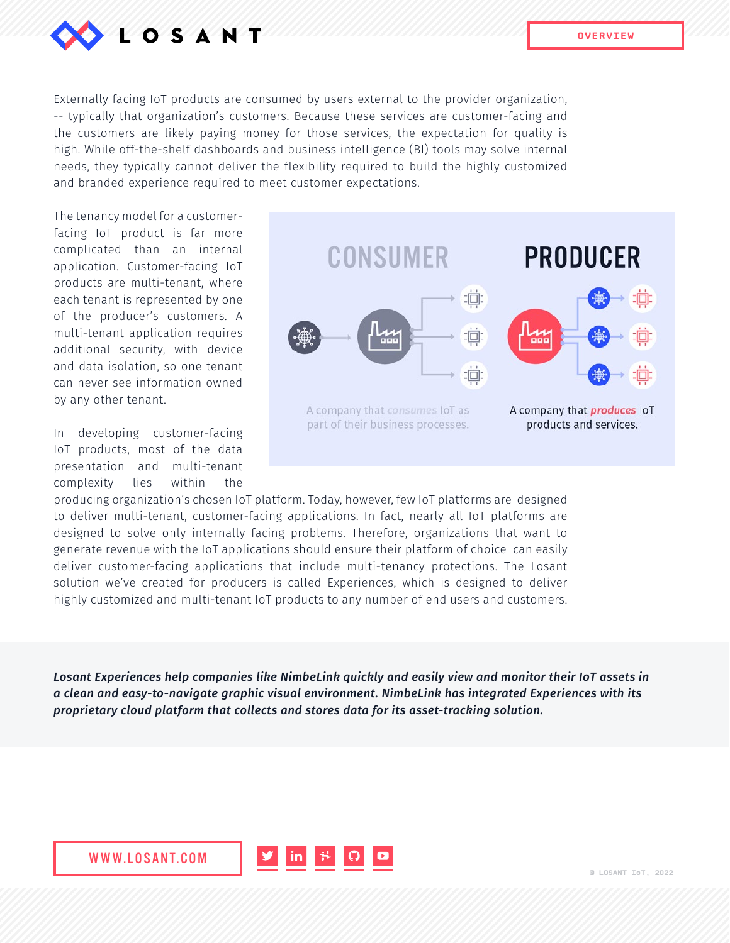

Externally facing IoT products are consumed by users external to the provider organization, -- typically that organization's customers. Because these services are customer-facing and the customers are likely paying money for those services, the expectation for quality is high. While off-the-shelf dashboards and business intelligence (BI) tools may solve internal needs, they typically cannot deliver the flexibility required to build the highly customized and branded experience required to meet customer expectations.

The tenancy model for a customerfacing IoT product is far more complicated than an internal application. Customer-facing IoT products are multi-tenant, where each tenant is represented by one of the producer's customers. A multi-tenant application requires additional security, with device and data isolation, so one tenant can never see information owned by any other tenant.

In developing customer-facing IoT products, most of the data presentation and multi-tenant complexity lies within the



producing organization's chosen IoT platform. Today, however, few IoT platforms are designed to deliver multi-tenant, customer-facing applications. In fact, nearly all IoT platforms are designed to solve only internally facing problems. Therefore, organizations that want to generate revenue with the IoT applications should ensure their platform of choice can easily deliver customer-facing applications that include multi-tenancy protections. The Losant solution we've created for producers is called Experiences, which is designed to deliver highly customized and multi-tenant IoT products to any number of end users and customers.

*Losant Experiences help companies like NimbeLink quickly and easily view and monitor their IoT assets in a clean and easy-to-navigate graphic visual environment. NimbeLink has integrated Experiences with its proprietary cloud platform that collects and stores data for its asset-tracking solution.*

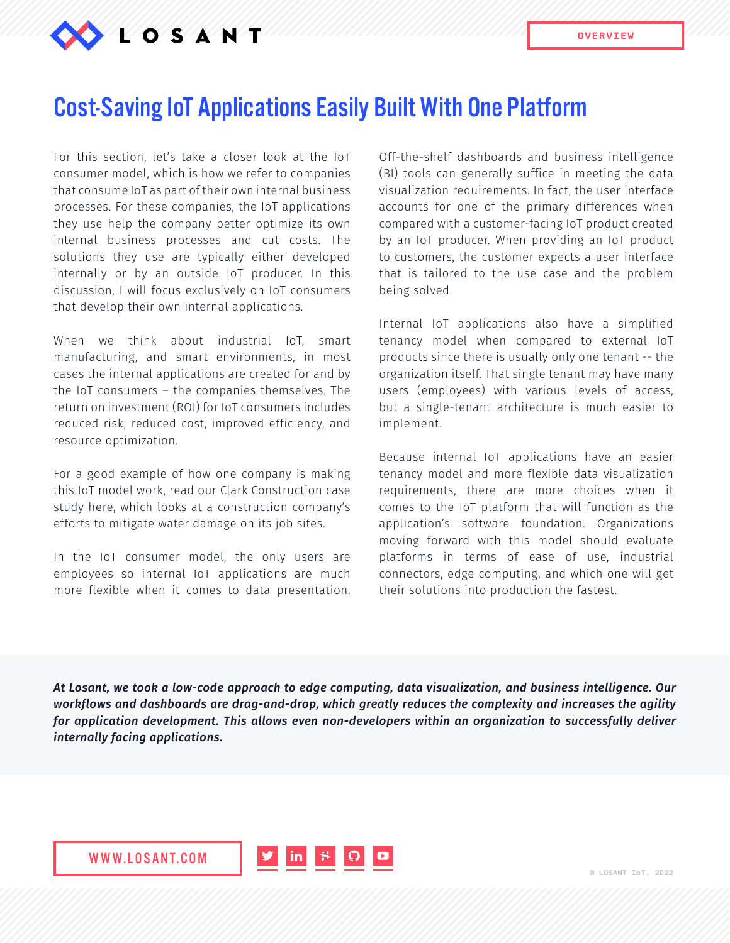

#### Cost-Saving IoT Applications Easily Built With One Platform

For this section, let's take a closer look at the IoT consumer model, which is how we refer to companies that consume IoT as part of their own internal business processes. For these companies, the IoT applications they use help the company better optimize its own internal business processes and cut costs. The solutions they use are typically either developed internally or by an outside IoT producer. In this discussion, I will focus exclusively on IoT consumers that develop their own internal applications.

When we think about industrial IoT, smart manufacturing, and smart environments, in most cases the internal applications are created for and by the IoT consumers – the companies themselves. The return on investment (ROI) for IoT consumers includes reduced risk, reduced cost, improved efficiency, and resource optimization.

For a good example of how one company is making this IoT model work, read our Clark Construction case study here, which looks at a construction company's efforts to mitigate water damage on its job sites.

In the IoT consumer model, the only users are employees so internal IoT applications are much more flexible when it comes to data presentation.

Off-the-shelf dashboards and business intelligence (BI) tools can generally suffice in meeting the data visualization requirements. In fact, the user interface accounts for one of the primary differences when compared with a customer-facing IoT product created by an IoT producer. When providing an IoT product to customers, the customer expects a user interface that is tailored to the use case and the problem being solved.

Internal IoT applications also have a simplified tenancy model when compared to external IoT products since there is usually only one tenant -- the organization itself. That single tenant may have many users (employees) with various levels of access, but a single-tenant architecture is much easier to implement.

Because internal IoT applications have an easier tenancy model and more flexible data visualization requirements, there are more choices when it comes to the IoT platform that will function as the application's software foundation. Organizations moving forward with this model should evaluate platforms in terms of ease of use, industrial connectors, edge computing, and which one will get their solutions into production the fastest.

*At Losant, we took a low-code approach to edge computing, data visualization, and business intelligence. Our workflows and dashboards are drag-and-drop, which greatly reduces the complexity and increases the agility for application development. This allows even non-developers within an organization to successfully deliver internally facing applications.*

WWW.LOSANT.COM